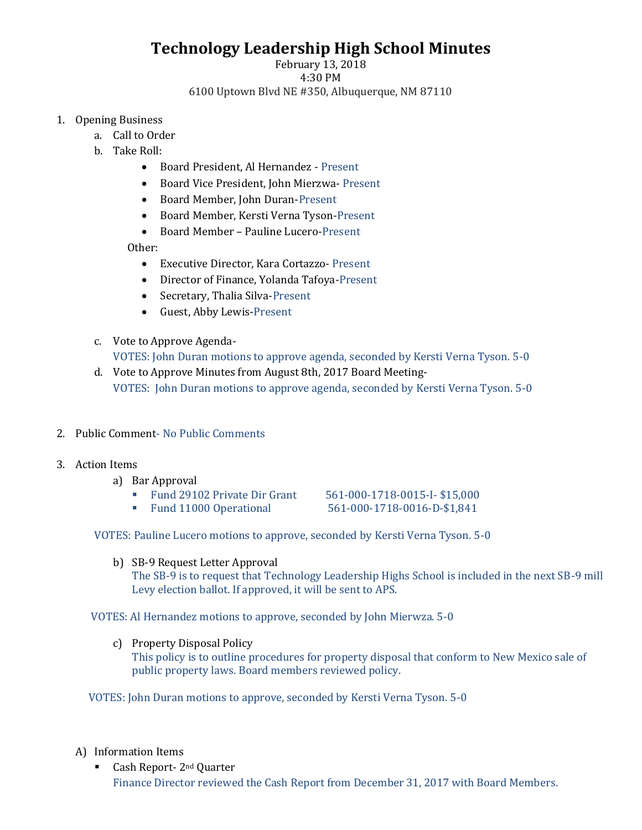## **Technology Leadership High School Minutes**

## February 13, 2018 4:30 PM 6100 Uptown Blvd NE #350, Albuquerque, NM 87110

- 1. Opening Business
	- a. Call to Order
	- b. Take Roll:
		- Board President, Al Hernandez Present
		- Board Vice President, John Mierzwa- Present
		- Board Member, John Duran-Present
		- Board Member, Kersti Verna Tyson-Present
		- Board Member Pauline Lucero-Present

Other:

- Executive Director, Kara Cortazzo- Present
- Director of Finance, Yolanda Tafoya-Present
- Secretary, Thalia Silva-Present
- Guest, Abby Lewis-Present
- c. Vote to Approve Agenda-VOTES: John Duran motions to approve agenda, seconded by Kersti Verna Tyson. 5-0
- d. Vote to Approve Minutes from August 8th, 2017 Board Meeting-VOTES: John Duran motions to approve agenda, seconded by Kersti Verna Tyson. 5-0
- 2. Public Comment- No Public Comments
- 3. Action Items
	- a) Bar Approval
		- Fund 29102 Private Dir Grant 561-000-1718-0015-I- \$15,000

▪ Fund 11000 Operational 561-000-1718-0016-D-\$1,841

VOTES: Pauline Lucero motions to approve, seconded by Kersti Verna Tyson. 5-0

b) SB-9 Request Letter Approval

The SB-9 is to request that Technology Leadership Highs School is included in the next SB-9 mill Levy election ballot. If approved, it will be sent to APS.

VOTES: Al Hernandez motions to approve, seconded by John Mierwza. 5-0

c) Property Disposal Policy This policy is to outline procedures for property disposal that conform to New Mexico sale of public property laws. Board members reviewed policy.

VOTES: John Duran motions to approve, seconded by Kersti Verna Tyson. 5-0

## A) Information Items

■ Cash Report- 2<sup>nd</sup> Quarter Finance Director reviewed the Cash Report from December 31, 2017 with Board Members.